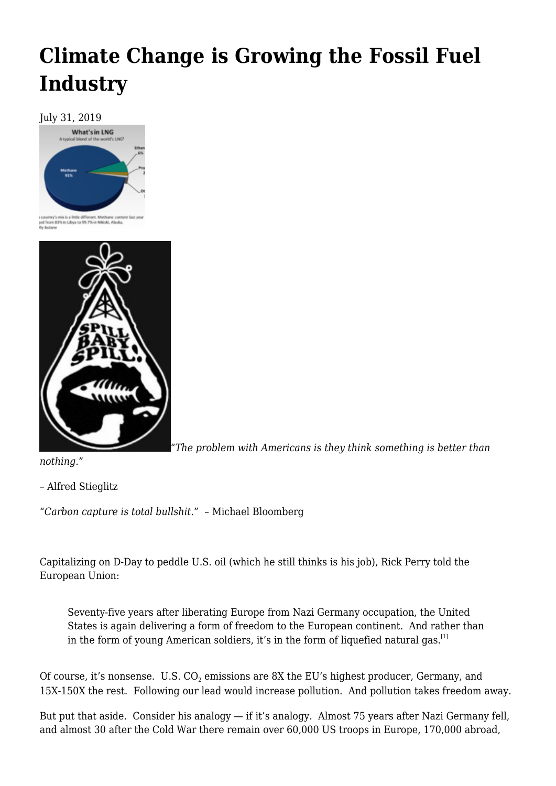## **[Climate Change is Growing the Fossil Fuel](https://newpol.org/climate-change-is-growing-the-fossil-fuel-industry/) [Industry](https://newpol.org/climate-change-is-growing-the-fossil-fuel-industry/)**

July 31, 2019



country's mix is a little different. Methane control<br>jed from 83% in Libya to 99.7% in Nikiski, Alaska<br>fly butane



"*The problem with Americans is they think something is better than*

*nothing*."

– Alfred Stieglitz

"*Carbon capture is total bullshit*." – Michael Bloomberg

Capitalizing on D-Day to peddle U.S. oil (which he still thinks is his job), Rick Perry told the European Union:

Seventy-five years after liberating Europe from Nazi Germany occupation, the United States is again delivering a form of freedom to the European continent. And rather than in the form of young American soldiers, it's in the form of liquefied natural gas.<sup>[\[1\]](#page-4-0)</sup>

<span id="page-0-0"></span>Of course, it's nonsense.  ${\rm U.S.}$   ${\rm CO_2}$  emissions are 8X the EU's highest producer, Germany, and 15X-150X the rest. Following our lead would increase pollution. And pollution takes freedom away.

But put that aside. Consider his analogy — if it's analogy. Almost 75 years after Nazi Germany fell, and almost 30 after the Cold War there remain over 60,000 US troops in Europe, 170,000 abroad,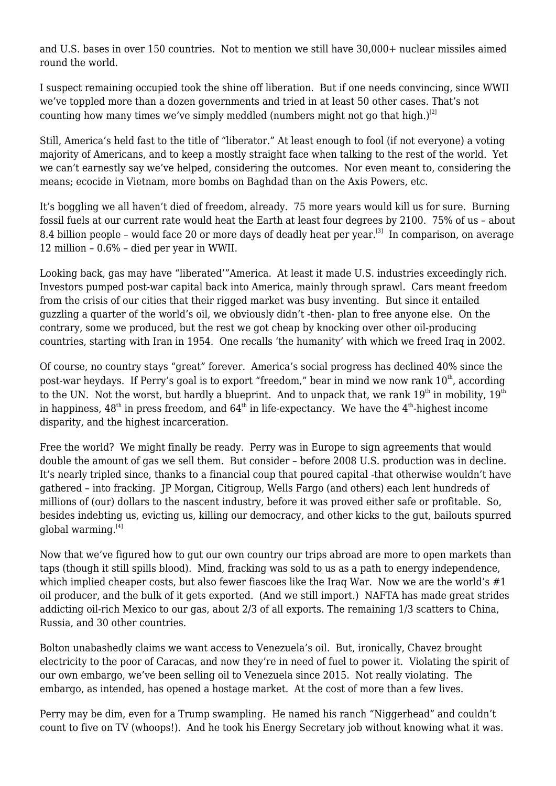and U.S. bases in over 150 countries. Not to mention we still have 30,000+ nuclear missiles aimed round the world.

I suspect remaining occupied took the shine off liberation. But if one needs convincing, since WWII we've toppled more than a dozen governments and tried in at least 50 other cases. That's not counting how many times we've simply meddled (numbers might not go that high.)<sup>[\[2\]](#page-4-1)</sup>

<span id="page-1-0"></span>Still, America's held fast to the title of "liberator." At least enough to fool (if not everyone) a voting majority of Americans, and to keep a mostly straight face when talking to the rest of the world. Yet we can't earnestly say we've helped, considering the outcomes. Nor even meant to, considering the means; ecocide in Vietnam, more bombs on Baghdad than on the Axis Powers, etc.

<span id="page-1-1"></span>It's boggling we all haven't died of freedom, already. 75 more years would kill us for sure. Burning fossil fuels at our current rate would heat the Earth at least four degrees by 2100. 75% of us – about 8.4 billion people – would face 20 or more days of deadly heat per year.<sup>[\[3\]](#page-4-2)</sup> In comparison, on average 12 million – 0.6% – died per year in WWII.

Looking back, gas may have "liberated'"America. At least it made U.S. industries exceedingly rich. Investors pumped post-war capital back into America, mainly through sprawl. Cars meant freedom from the crisis of our cities that their rigged market was busy inventing. But since it entailed guzzling a quarter of the world's oil, we obviously didn't -then- plan to free anyone else. On the contrary, some we produced, but the rest we got cheap by knocking over other oil-producing countries, starting with Iran in 1954. One recalls 'the humanity' with which we freed Iraq in 2002.

Of course, no country stays "great" forever. America's social progress has declined 40% since the post-war heydays. If Perry's goal is to export "freedom," bear in mind we now rank 10<sup>th</sup>, according to the UN. Not the worst, but hardly a blueprint. And to unpack that, we rank  $19<sup>th</sup>$  in mobility,  $19<sup>th</sup>$ in happiness,  $48<sup>th</sup>$  in press freedom, and  $64<sup>th</sup>$  in life-expectancy. We have the  $4<sup>th</sup>$ -highest income disparity, and the highest incarceration.

Free the world? We might finally be ready. Perry was in Europe to sign agreements that would double the amount of gas we sell them. But consider – before 2008 U.S. production was in decline. It's nearly tripled since, thanks to a financial coup that poured capital -that otherwise wouldn't have gathered – into fracking. JP Morgan, Citigroup, Wells Fargo (and others) each lent hundreds of millions of (our) dollars to the nascent industry, before it was proved either safe or profitable. So, besides indebting us, evicting us, killing our democracy, and other kicks to the gut, bailouts spurred global warming. $[4]$ 

<span id="page-1-2"></span>Now that we've figured how to gut our own country our trips abroad are more to open markets than taps (though it still spills blood). Mind, fracking was sold to us as a path to energy independence, which implied cheaper costs, but also fewer fiascoes like the Iraq War. Now we are the world's #1 oil producer, and the bulk of it gets exported. (And we still import.) NAFTA has made great strides addicting oil-rich Mexico to our gas, about 2/3 of all exports. The remaining 1/3 scatters to China, Russia, and 30 other countries.

Bolton unabashedly claims we want access to Venezuela's oil. But, ironically, Chavez brought electricity to the poor of Caracas, and now they're in need of fuel to power it. Violating the spirit of our own embargo, we've been selling oil to Venezuela since 2015. Not really violating. The embargo, as intended, has opened a hostage market. At the cost of more than a few lives.

Perry may be dim, even for a Trump swampling. He named his ranch "Niggerhead" and couldn't count to five on TV (whoops!). And he took his Energy Secretary job without knowing what it was.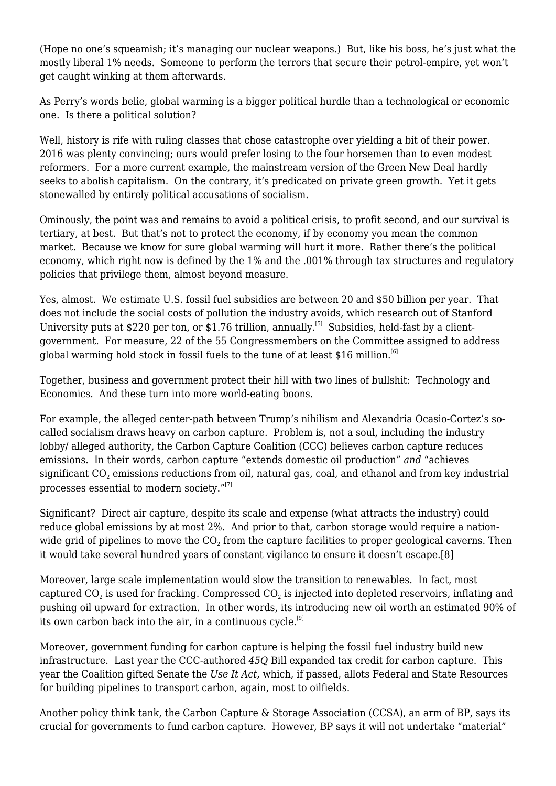(Hope no one's squeamish; it's managing our nuclear weapons.) But, like his boss, he's just what the mostly liberal 1% needs. Someone to perform the terrors that secure their petrol-empire, yet won't get caught winking at them afterwards.

As Perry's words belie, global warming is a bigger political hurdle than a technological or economic one. Is there a political solution?

Well, history is rife with ruling classes that chose catastrophe over yielding a bit of their power. 2016 was plenty convincing; ours would prefer losing to the four horsemen than to even modest reformers. For a more current example, the mainstream version of the Green New Deal hardly seeks to abolish capitalism. On the contrary, it's predicated on private green growth. Yet it gets stonewalled by entirely political accusations of socialism.

Ominously, the point was and remains to avoid a political crisis, to profit second, and our survival is tertiary, at best. But that's not to protect the economy, if by economy you mean the common market. Because we know for sure global warming will hurt it more. Rather there's the political economy, which right now is defined by the 1% and the .001% through tax structures and regulatory policies that privilege them, almost beyond measure.

<span id="page-2-0"></span>Yes, almost. We estimate U.S. fossil fuel subsidies are between 20 and \$50 billion per year. That does not include the social costs of pollution the industry avoids, which research out of Stanford University puts at \$220 per ton, or \$1.76 trillion, annually.<sup>[\[5\]](#page-5-1)</sup> Subsidies, held-fast by a clientgovernment. For measure, 22 of the 55 Congressmembers on the Committee assigned to address global warming hold stock in fossil fuels to the tune of at least \$16 million.<sup>[\[6\]](#page-5-2)</sup>

<span id="page-2-1"></span>Together, business and government protect their hill with two lines of bullshit: Technology and Economics. And these turn into more world-eating boons.

For example, the alleged center-path between Trump's nihilism and Alexandria Ocasio-Cortez's socalled socialism draws heavy on carbon capture. Problem is, not a soul, including the industry lobby/ alleged authority, the Carbon Capture Coalition (CCC) believes carbon capture reduces emissions. In their words, carbon capture "extends domestic oil production" *and* "achieves significant CO $_{\rm 2}$  emissions reductions from oil, natural gas, coal, and ethanol and from key industrial processes essential to modern society."[\[7\]](#page-5-3)

<span id="page-2-2"></span>Significant? Direct air capture, despite its scale and expense (what attracts the industry) could reduce global emissions by at most 2%. And prior to that, carbon storage would require a nationwide grid of pipelines to move the CO $_2$  from the capture facilities to proper geological caverns. Then it would take several hundred years of constant vigilance to ensure it doesn't escape.[\[8\]](#page-5-4)

<span id="page-2-3"></span>Moreover, large scale implementation would slow the transition to renewables. In fact, most captured CO $_{\rm 2}$  is used for fracking. Compressed CO $_{\rm 2}$  is injected into depleted reservoirs, inflating and pushing oil upward for extraction. In other words, its introducing new oil worth an estimated 90% of its own carbon back into the air, in a continuous cycle.<sup>[\[9\]](#page-5-5)</sup>

<span id="page-2-4"></span>Moreover, government funding for carbon capture is helping the fossil fuel industry build new infrastructure. Last year the CCC-authored *45Q* Bill expanded tax credit for carbon capture. This year the Coalition gifted Senate the *Use It Act*, which, if passed, allots Federal and State Resources for building pipelines to transport carbon, again, most to oilfields.

<span id="page-2-5"></span>Another policy think tank, the Carbon Capture & Storage Association (CCSA), an arm of BP, says its crucial for governments to fund carbon capture. However, BP says it will not undertake "material"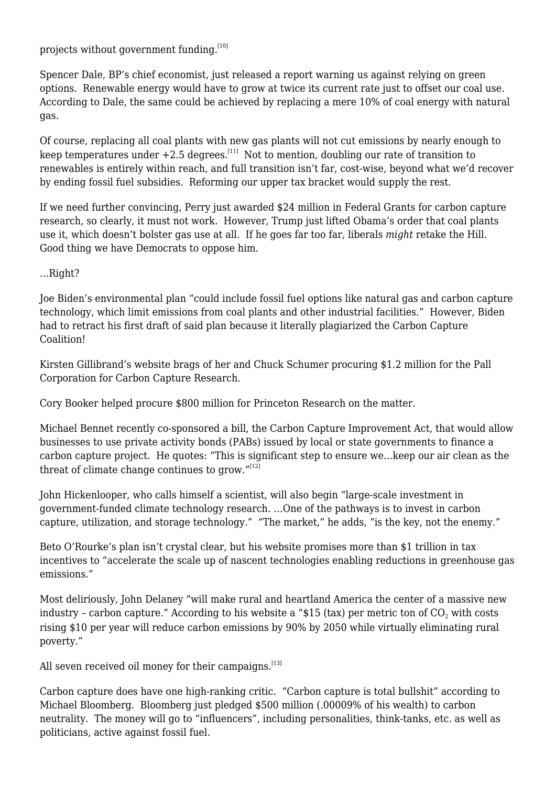projects without government funding. $[10]$ 

Spencer Dale, BP's chief economist, just released a report warning us against relying on green options. Renewable energy would have to grow at twice its current rate just to offset our coal use. According to Dale, the same could be achieved by replacing a mere 10% of coal energy with natural gas.

<span id="page-3-0"></span>Of course, replacing all coal plants with new gas plants will not cut emissions by nearly enough to keep temperatures under  $+2.5$  degrees.<sup>[\[11\]](#page-5-7)</sup> Not to mention, doubling our rate of transition to renewables is entirely within reach, and full transition isn't far, cost-wise, beyond what we'd recover by ending fossil fuel subsidies. Reforming our upper tax bracket would supply the rest.

If we need further convincing, Perry just awarded \$24 million in Federal Grants for carbon capture research, so clearly, it must not work. However, Trump just lifted Obama's order that coal plants use it, which doesn't bolster gas use at all. If he goes far too far, liberals *might* retake the Hill. Good thing we have Democrats to oppose him.

…Right?

Joe Biden's environmental plan "could include fossil fuel options like natural gas and carbon capture technology, which limit emissions from coal plants and other industrial facilities." However, Biden had to retract his first draft of said plan because it literally plagiarized the Carbon Capture Coalition!

Kirsten Gillibrand's website brags of her and Chuck Schumer procuring \$1.2 million for the Pall Corporation for Carbon Capture Research.

Cory Booker helped procure \$800 million for Princeton Research on the matter.

Michael Bennet recently co-sponsored a bill, the Carbon Capture Improvement Act, that would allow businesses to use private activity bonds (PABs) issued by local or state governments to finance a carbon capture project. He quotes: "This is significant step to ensure we…keep our air clean as the threat of climate change continues to grow. $^{"[12]}$  $^{"[12]}$  $^{"[12]}$ 

<span id="page-3-1"></span>John Hickenlooper, who calls himself a scientist, will also begin "large-scale investment in government-funded climate technology research. …One of the pathways is to invest in carbon capture, utilization, and storage technology." "The market," he adds, "is the key, not the enemy."

Beto O'Rourke's plan isn't crystal clear, but his website promises more than \$1 trillion in tax incentives to "accelerate the scale up of nascent technologies enabling reductions in greenhouse gas emissions."

Most deliriously, John Delaney "will make rural and heartland America the center of a massive new industry - carbon capture." According to his website a "\$15 (tax) per metric ton of CO $_{\text{2}}$  with costs rising \$10 per year will reduce carbon emissions by 90% by 2050 while virtually eliminating rural poverty."

<span id="page-3-2"></span>All seven received oil money for their campaigns.<sup>[\[13\]](#page-5-9)</sup>

Carbon capture does have one high-ranking critic. "Carbon capture is total bullshit" according to Michael Bloomberg. Bloomberg just pledged \$500 million (.00009% of his wealth) to carbon neutrality. The money will go to "influencers", including personalities, think-tanks, etc. as well as politicians, active against fossil fuel.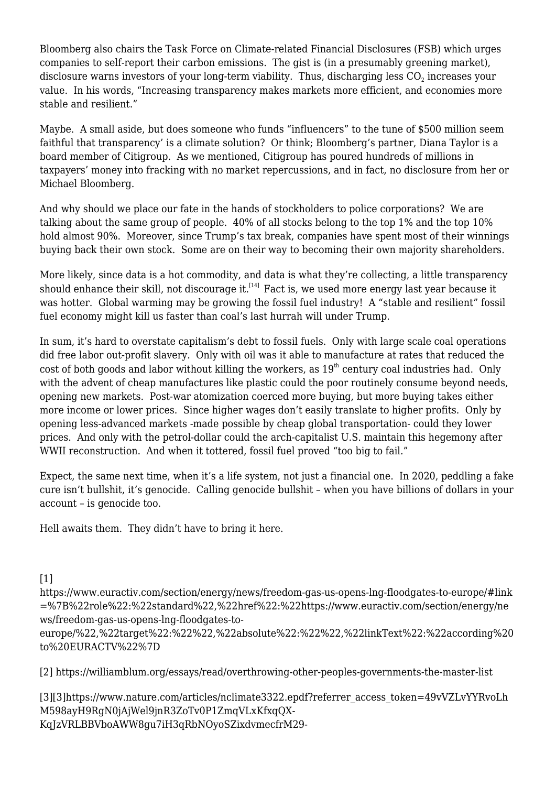Bloomberg also chairs the Task Force on Climate-related Financial Disclosures (FSB) which urges companies to self-report their carbon emissions. The gist is (in a presumably greening market), disclosure warns investors of your long-term viability. Thus, discharging less CO $_{\rm 2}$  increases your value. In his words, "Increasing transparency makes markets more efficient, and economies more stable and resilient."

Maybe. A small aside, but does someone who funds "influencers" to the tune of \$500 million seem faithful that transparency' is a climate solution? Or think; Bloomberg's partner, [Diana Taylor](https://www.sourcewatch.org/index.php?title=Diana_L._Taylor) is a board member of [Citigroup.](https://www.sourcewatch.org/index.php?title=Citigroup) As we mentioned, Citigroup has poured hundreds of millions in taxpayers' money into fracking with no market repercussions, and in fact, no disclosure from her or Michael Bloomberg.

And why should we place our fate in the hands of stockholders to police corporations? We are talking about the same group of people. 40% of all stocks belong to the top 1% and the top 10% hold almost 90%. Moreover, since Trump's tax break, companies have spent most of their winnings buying back their own stock. Some are on their way to becoming their own majority shareholders.

<span id="page-4-3"></span>More likely, since data is a hot commodity, and data is what they're collecting, a little transparency should enhance their skill, not discourage it.<sup>[\[14\]](#page-5-10)</sup> Fact is, we used more energy last year because it was hotter. Global warming may be growing the fossil fuel industry! A "stable and resilient" fossil fuel economy might kill us faster than coal's last hurrah will under Trump.

In sum, it's hard to overstate capitalism's debt to fossil fuels. Only with large scale coal operations did free labor out-profit slavery. Only with oil was it able to manufacture at rates that reduced the cost of both goods and labor without killing the workers, as  $19<sup>th</sup>$  century coal industries had. Only with the advent of cheap manufactures like plastic could the poor routinely consume beyond needs, opening new markets. Post-war atomization coerced more buying, but more buying takes either more income or lower prices. Since higher wages don't easily translate to higher profits. Only by opening less-advanced markets -made possible by cheap global transportation- could they lower prices. And only with the petrol-dollar could the arch-capitalist U.S. maintain this hegemony after WWII reconstruction. And when it tottered, fossil fuel proved "too big to fail."

Expect, the same next time, when it's a life system, not just a financial one. In 2020, peddling a fake cure isn't bullshit, it's genocide. Calling genocide bullshit – when you have billions of dollars in your account – is genocide too.

Hell awaits them. They didn't have to bring it here.

<span id="page-4-0"></span> $[1]$ 

https://www.euractiv.com/section/energy/news/freedom-gas-us-opens-lng-floodgates-to-europe/#link =%7B%22role%22:%22standard%22,%22href%22:%22https://www.euractiv.com/section/energy/ne ws/freedom-gas-us-opens-lng-floodgates-to-

europe/%22,%22target%22:%22%22,%22absolute%22:%22%22,%22linkText%22:%22according%20 to%20EURACTV%22%7D

<span id="page-4-1"></span>[\[2\]](#page-1-0) https://williamblum.org/essays/read/overthrowing-other-peoples-governments-the-master-list

<span id="page-4-2"></span>[\[3\]\[](#page-1-1)3]https://www.nature.com/articles/nclimate3322.epdf?referrer\_access\_token=49vVZLvYYRvoLh M598ayH9RgN0jAjWel9jnR3ZoTv0P1ZmqVLxKfxqQX-KqJzVRLBBVboAWW8gu7iH3qRbNOyoSZixdvmecfrM29